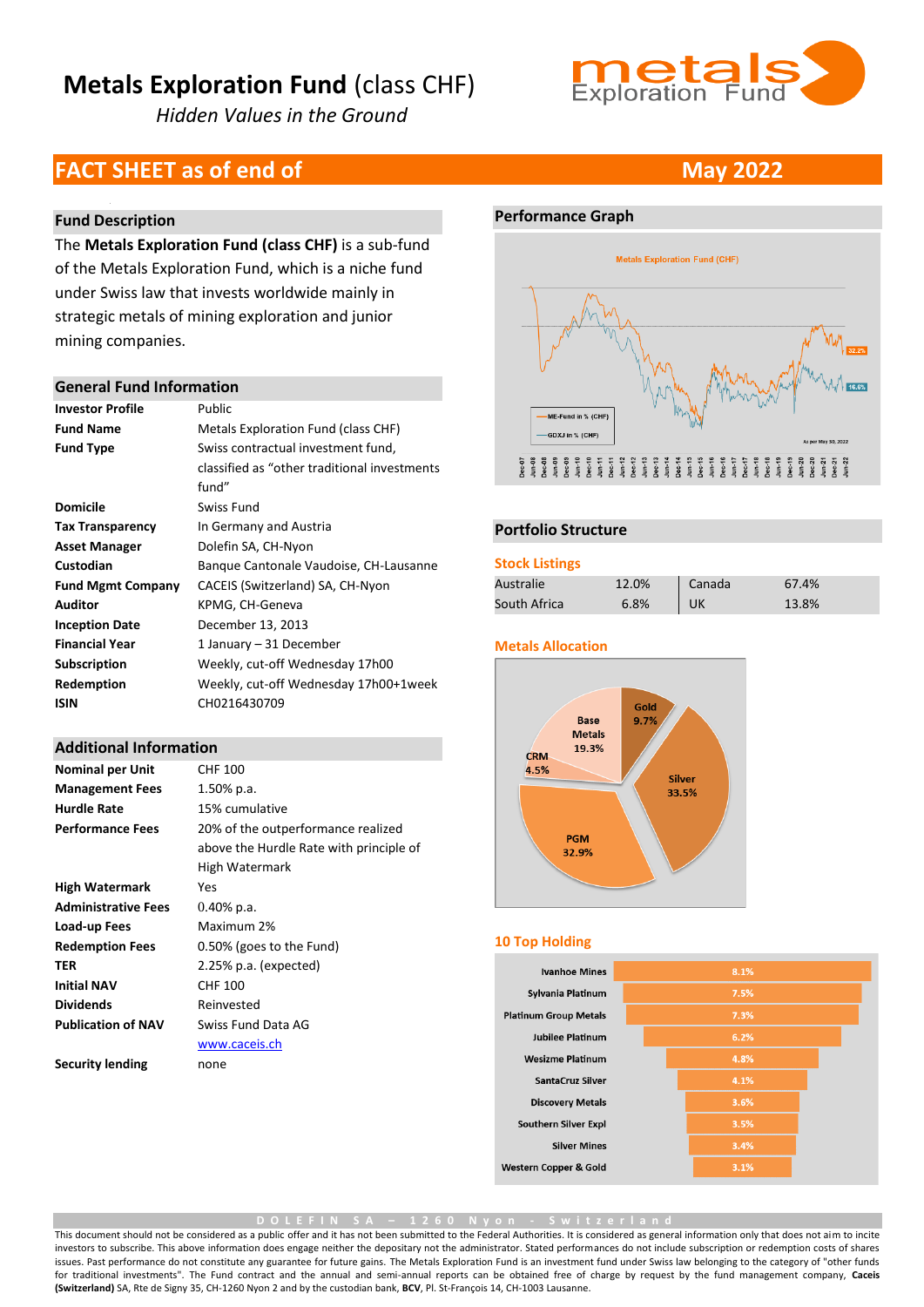*Hidden Values in the Ground*



### **FACT SHEET as of end of <b>May** 2022

#### **Fund Description**

The **Metals Exploration Fund (class CHF)** is a sub-fund of the Metals Exploration Fund, which is a niche fund under Swiss law that invests worldwide mainly in strategic metals of mining exploration and junior mining companies.

#### **General Fund Information**

| <b>Investor Profile</b>  | Public                                       |
|--------------------------|----------------------------------------------|
| <b>Fund Name</b>         | Metals Exploration Fund (class CHF)          |
| <b>Fund Type</b>         | Swiss contractual investment fund,           |
|                          | classified as "other traditional investments |
|                          | fund"                                        |
| <b>Domicile</b>          | Swiss Fund                                   |
| <b>Tax Transparency</b>  | In Germany and Austria                       |
| <b>Asset Manager</b>     | Dolefin SA, CH-Nyon                          |
| Custodian                | Bangue Cantonale Vaudoise, CH-Lausanne       |
| <b>Fund Mgmt Company</b> | CACEIS (Switzerland) SA, CH-Nyon             |
| Auditor                  | KPMG, CH-Geneva                              |
| <b>Inception Date</b>    | December 13, 2013                            |
| <b>Financial Year</b>    | 1 January – 31 December                      |
| <b>Subscription</b>      | Weekly, cut-off Wednesday 17h00              |
| Redemption               | Weekly, cut-off Wednesday 17h00+1week        |
| ISIN                     | CH0216430709                                 |
|                          |                                              |

#### **Additional Information**

| <b>Nominal per Unit</b>    | CHF 100                                 |
|----------------------------|-----------------------------------------|
| <b>Management Fees</b>     | 1.50% p.a.                              |
| <b>Hurdle Rate</b>         | 15% cumulative                          |
| <b>Performance Fees</b>    | 20% of the outperformance realized      |
|                            | above the Hurdle Rate with principle of |
|                            | High Watermark                          |
| <b>High Watermark</b>      | Yes                                     |
| <b>Administrative Fees</b> | $0.40\%$ p.a.                           |
| Load-up Fees               | Maximum 2%                              |
| <b>Redemption Fees</b>     | 0.50% (goes to the Fund)                |
| TER                        | $2.25\%$ p.a. (expected)                |
| <b>Initial NAV</b>         | CHF 100                                 |
| <b>Dividends</b>           | Reinvested                              |
| <b>Publication of NAV</b>  | Swiss Fund Data AG                      |
|                            | www.caceis.ch                           |
| <b>Security lending</b>    | none                                    |
|                            |                                         |

#### **Performance Graph**



#### **Portfolio Structure**

#### **Stock Listings**

| Australie    | 12.0% | Canada | 67.4% |
|--------------|-------|--------|-------|
| South Africa | 6.8%  | UK     | 13.8% |

#### **Metals Allocation**



#### **10 Top Holding**

| <b>Ivanhoe Mines</b>             | 8.1% |
|----------------------------------|------|
| Sylvania Platinum                | 7.5% |
| <b>Platinum Group Metals</b>     | 7.3% |
| <b>Jubilee Platinum</b>          | 6.2% |
| <b>Wesizme Platinum</b>          | 4.8% |
| <b>SantaCruz Silver</b>          | 4.1% |
| <b>Discovery Metals</b>          | 3.6% |
| <b>Southern Silver Expl</b>      | 3.5% |
| <b>Silver Mines</b>              | 3.4% |
| <b>Western Copper &amp; Gold</b> | 3.1% |

**D O L E F I N S A – 1 2 6 0 N y o n - S w i t z e r l a n d**

This document should not be considered as a public offer and it has not been submitted to the Federal Authorities. It is considered as general information only that does not aim to incite investors to subscribe. This above information does engage neither the depositary not the administrator. Stated performances do not include subscription or redemption costs of shares issues. Past performance do not constitute any guarantee for future gains. The Metals Exploration Fund is an investment fund under Swiss law belonging to the category of "other funds for traditional investments". The Fund contract and the annual and semi-annual reports can be obtained free of charge by request by the fund management company, **Caceis (Switzerland)** SA, Rte de Signy 35, CH-1260 Nyon 2 and by the custodian bank, **BCV**, Pl. St-François 14, CH-1003 Lausanne.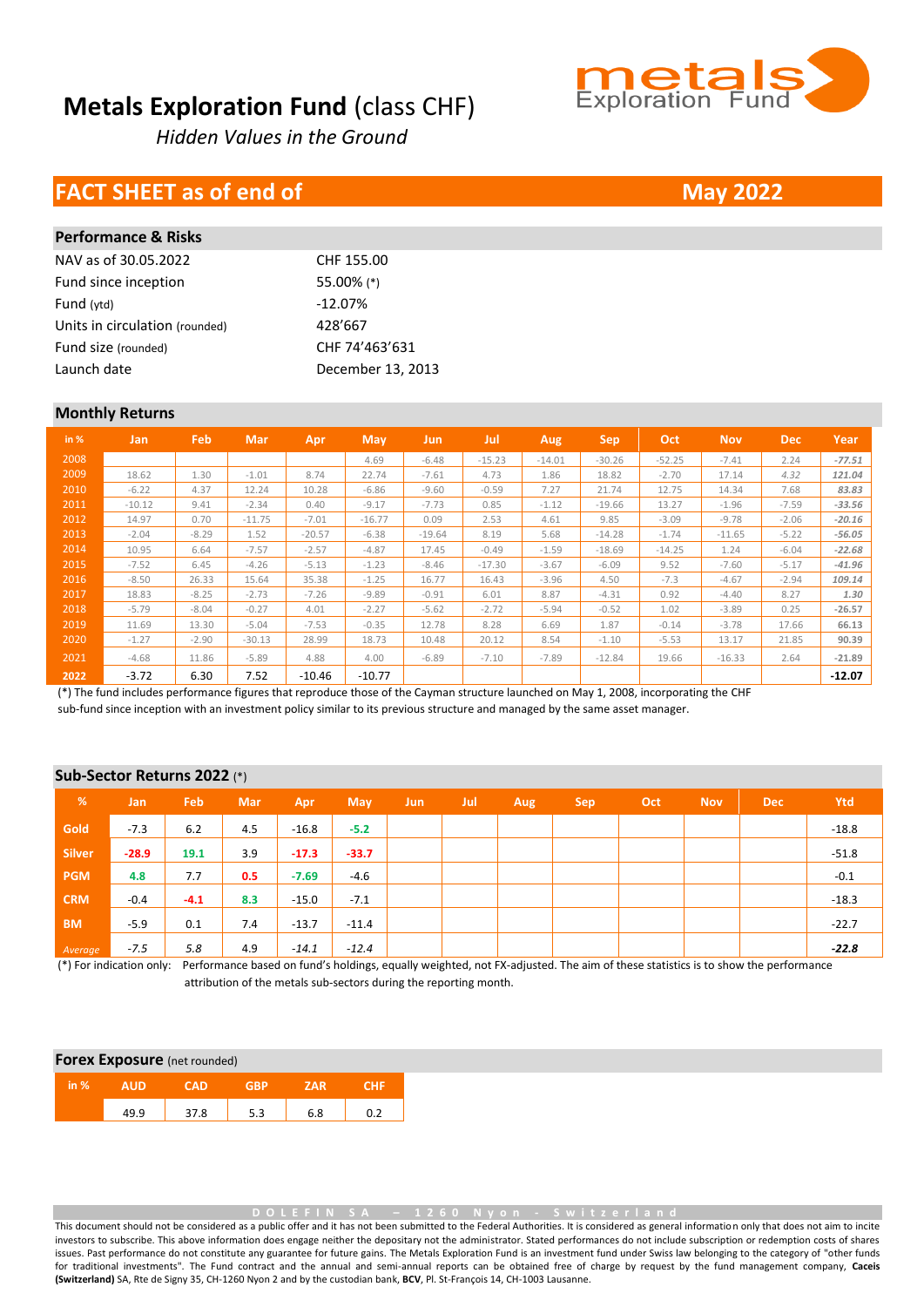*Hidden Values in the Ground*

## **FACT SHEET as of end of <b>May** 2022

| Performance & Risks            |                   |
|--------------------------------|-------------------|
| NAV as of 30.05.2022           | CHF 155.00        |
| Fund since inception           | 55.00% (*)        |
| Fund (ytd)                     | $-12.07%$         |
| Units in circulation (rounded) | 428'667           |
| Fund size (rounded)            | CHF 74'463'631    |
| Launch date                    | December 13, 2013 |
|                                |                   |

#### **Monthly Returns**

**Performance & Risks**

| in % | Jan      | Feb     | <b>Mar</b> | Apr      | May      | Jun      | Jul      | Aug      | <b>Sep</b> | Oct      | <b>Nov</b> | <b>Dec</b> | Year     |
|------|----------|---------|------------|----------|----------|----------|----------|----------|------------|----------|------------|------------|----------|
| 2008 |          |         |            |          | 4.69     | $-6.48$  | $-15.23$ | $-14.01$ | $-30.26$   | $-52.25$ | $-7.41$    | 2.24       | $-77.51$ |
| 2009 | 18.62    | 1.30    | $-1.01$    | 8.74     | 22.74    | $-7.61$  | 4.73     | 1.86     | 18.82      | $-2.70$  | 17.14      | 4.32       | 121.04   |
| 2010 | $-6.22$  | 4.37    | 12.24      | 10.28    | $-6.86$  | $-9.60$  | $-0.59$  | 7.27     | 21.74      | 12.75    | 14.34      | 7.68       | 83.83    |
| 2011 | $-10.12$ | 9.41    | $-2.34$    | 0.40     | $-9.17$  | $-7.73$  | 0.85     | $-1.12$  | $-19.66$   | 13.27    | $-1.96$    | $-7.59$    | $-33.56$ |
| 2012 | 14.97    | 0.70    | $-11.75$   | $-7.01$  | $-16.77$ | 0.09     | 2.53     | 4.61     | 9.85       | $-3.09$  | $-9.78$    | $-2.06$    | $-20.16$ |
| 2013 | $-2.04$  | $-8.29$ | 1.52       | $-20.57$ | $-6.38$  | $-19.64$ | 8.19     | 5.68     | $-14.28$   | $-1.74$  | $-11.65$   | $-5.22$    | $-56.05$ |
| 2014 | 10.95    | 6.64    | $-7.57$    | $-2.57$  | $-4.87$  | 17.45    | $-0.49$  | $-1.59$  | $-18.69$   | $-14.25$ | 1.24       | $-6.04$    | $-22.68$ |
| 2015 | $-7.52$  | 6.45    | $-4.26$    | $-5.13$  | $-1.23$  | $-8.46$  | $-17.30$ | $-3.67$  | $-6.09$    | 9.52     | $-7.60$    | $-5.17$    | $-41.96$ |
| 2016 | $-8.50$  | 26.33   | 15.64      | 35.38    | $-1.25$  | 16.77    | 16.43    | $-3.96$  | 4.50       | $-7.3$   | $-4.67$    | $-2.94$    | 109.14   |
| 2017 | 18.83    | $-8.25$ | $-2.73$    | $-7.26$  | $-9.89$  | $-0.91$  | 6.01     | 8.87     | $-4.31$    | 0.92     | $-4.40$    | 8.27       | 1.30     |
| 2018 | $-5.79$  | $-8.04$ | $-0.27$    | 4.01     | $-2.27$  | $-5.62$  | $-2.72$  | $-5.94$  | $-0.52$    | 1.02     | $-3.89$    | 0.25       | $-26.57$ |
| 2019 | 11.69    | 13.30   | $-5.04$    | $-7.53$  | $-0.35$  | 12.78    | 8.28     | 6.69     | 1.87       | $-0.14$  | $-3.78$    | 17.66      | 66.13    |
| 2020 | $-1.27$  | $-2.90$ | $-30.13$   | 28.99    | 18.73    | 10.48    | 20.12    | 8.54     | $-1.10$    | $-5.53$  | 13.17      | 21.85      | 90.39    |
| 2021 | $-4.68$  | 11.86   | $-5.89$    | 4.88     | 4.00     | $-6.89$  | $-7.10$  | $-7.89$  | $-12.84$   | 19.66    | $-16.33$   | 2.64       | $-21.89$ |
| 2022 | $-3.72$  | 6.30    | 7.52       | $-10.46$ | $-10.77$ |          |          |          |            |          |            |            | $-12.07$ |

(\*) The fund includes performance figures that reproduce those of the Cayman structure launched on May 1, 2008, incorporating the CHF sub-fund since inception with an investment policy similar to its previous structure and managed by the same asset manager.

#### **Sub-Sector Returns 2022** (\*)

| $\sqrt{26}$   | <b>Jan</b> | Feb    | <b>Mar</b> | Apr     | <b>May</b> | <b>Jun</b> | Jul | Aug | <b>Sep</b> | Oct | <b>Nov</b> | <b>Dec</b> | Ytd     |
|---------------|------------|--------|------------|---------|------------|------------|-----|-----|------------|-----|------------|------------|---------|
| Gold          | $-7.3$     | 6.2    | 4.5        | $-16.8$ | $-5.2$     |            |     |     |            |     |            |            | $-18.8$ |
| <b>Silver</b> | $-28.9$    | 19.1   | 3.9        | $-17.3$ | $-33.7$    |            |     |     |            |     |            |            | $-51.8$ |
| <b>PGM</b>    | 4.8        | 7.7    | 0.5        | $-7.69$ | $-4.6$     |            |     |     |            |     |            |            | $-0.1$  |
| <b>CRM</b>    | $-0.4$     | $-4.1$ | 8.3        | $-15.0$ | $-7.1$     |            |     |     |            |     |            |            | $-18.3$ |
| <b>BM</b>     | $-5.9$     | 0.1    | 7.4        | $-13.7$ | $-11.4$    |            |     |     |            |     |            |            | $-22.7$ |
| Average       | $-7.5$     | 5.8    | 4.9        | $-14.1$ | $-12.4$    |            |     |     |            |     |            |            | $-22.8$ |

(\*) For indication only: Performance based on fund's holdings, equally weighted, not FX-adjusted. The aim of these statistics is to show the performance attribution of the metals sub-sectors during the reporting month.

#### **Forex Exposure** (net rounded)

| $\ln \%$ |     |   |        |     |  |
|----------|-----|---|--------|-----|--|
|          | a a | 8 | $\sim$ | 6.8 |  |

**D O L E F I N S A – 1 2 6 0 N y o n - S w i t z e r l a n d**

This document should not be considered as a public offer and it has not been submitted to the Federal Authorities. It is considered as general information only that does not aim to incite investors to subscribe. This above information does engage neither the depositary not the administrator. Stated performances do not include subscription or redemption costs of shares issues. Past performance do not constitute any guarantee for future gains. The Metals Exploration Fund is an investment fund under Swiss law belonging to the category of "other funds for traditional investments". The Fund contract and the annual and semi-annual reports can be obtained free of charge by request by the fund management company, **Caceis (Switzerland)** SA, Rte de Signy 35, CH-1260 Nyon 2 and by the custodian bank, **BCV**, Pl. St-François 14, CH-1003 Lausanne.

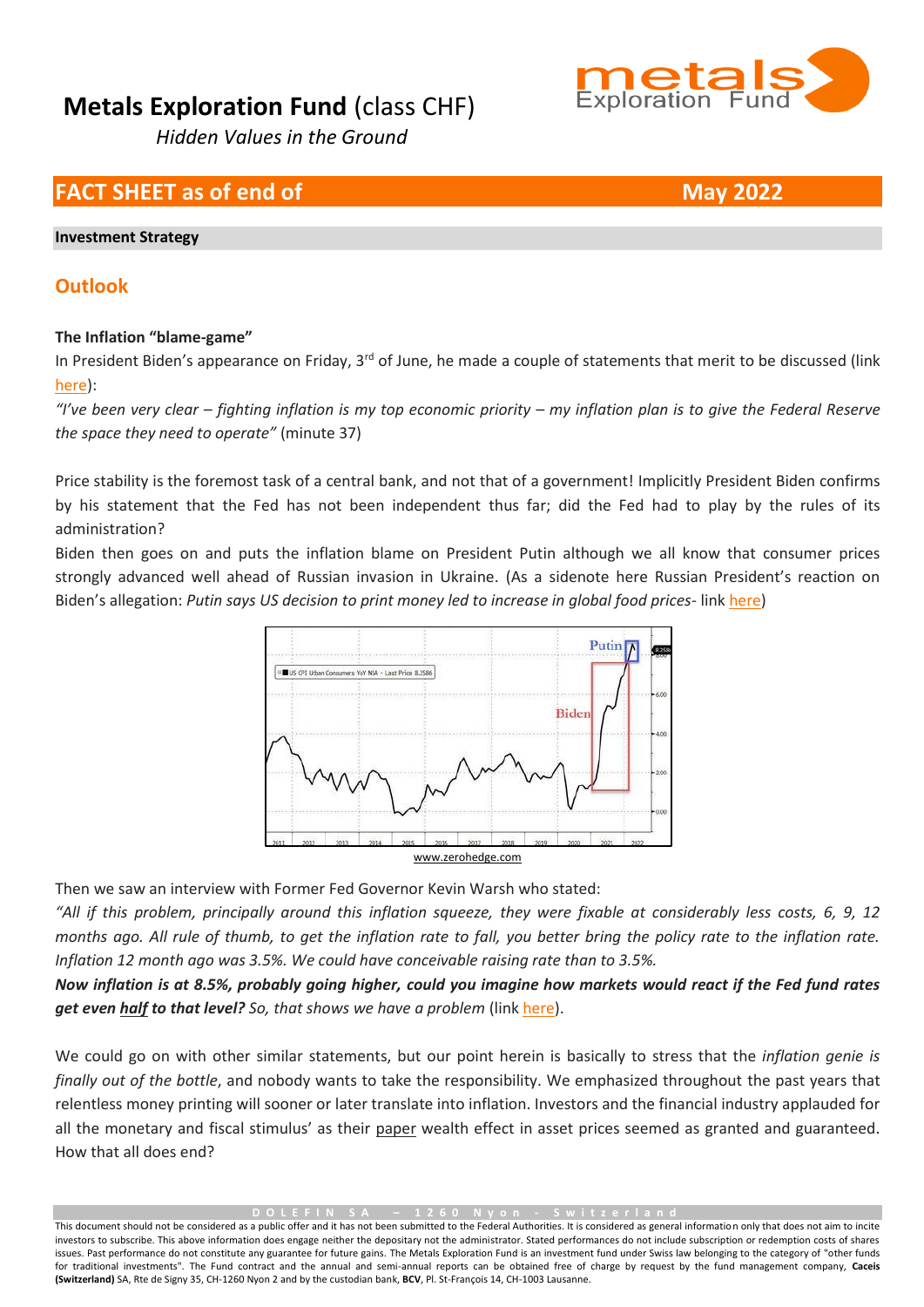

## **FACT SHEET as of end of <b>May** 2022

#### **Investment Strategy**

### **Outlook**

### **The Inflation "blame-game"**

In President Biden's appearance on Friday, 3<sup>rd</sup> of June, he made a couple of statements that merit to be discussed (link [here\)](https://www.youtube.com/watch?v=epW1vVAYYGw):

*"I've been very clear – fighting inflation is my top economic priority – my inflation plan is to give the Federal Reserve the space they need to operate"* (minute 37)

Price stability is the foremost task of a central bank, and not that of a government! Implicitly President Biden confirms by his statement that the Fed has not been independent thus far; did the Fed had to play by the rules of its administration?

Biden then goes on and puts the inflation blame on President Putin although we all know that consumer prices strongly advanced well ahead of Russian invasion in Ukraine. (As a sidenote here Russian President's reaction on Biden's allegation: *Putin says US decision to print money led to increase in global food prices*- lin[k here\)](https://twitter.com/zerohedge/status/1532772891401633794)



Then we saw an interview with Former Fed Governor Kevin Warsh who stated:

*"All if this problem, principally around this inflation squeeze, they were fixable at considerably less costs, 6, 9, 12 months ago. All rule of thumb, to get the inflation rate to fall, you better bring the policy rate to the inflation rate. Inflation 12 month ago was 3.5%. We could have conceivable raising rate than to 3.5%.*

*Now inflation is at 8.5%, probably going higher, could you imagine how markets would react if the Fed fund rates get even half to that level? So, that shows we have a problem* (lin[k here\)](https://twitter.com/WallStreetSilv/status/1532134909854236673).

We could go on with other similar statements, but our point herein is basically to stress that the *inflation genie is finally out of the bottle*, and nobody wants to take the responsibility. We emphasized throughout the past years that relentless money printing will sooner or later translate into inflation. Investors and the financial industry applauded for all the monetary and fiscal stimulus' as their paper wealth effect in asset prices seemed as granted and guaranteed. How that all does end?

**D O L E F I N S A – 1 2 6 0 N y o n - S w i t z e r l a n d**

This document should not be considered as a public offer and it has not been submitted to the Federal Authorities. It is considered as general information only that does not aim to incite investors to subscribe. This above information does engage neither the depositary not the administrator. Stated performances do not include subscription or redemption costs of shares issues. Past performance do not constitute any guarantee for future gains. The Metals Exploration Fund is an investment fund under Swiss law belonging to the category of "other funds for traditional investments". The Fund contract and the annual and semi-annual reports can be obtained free of charge by request by the fund management company, **Caceis (Switzerland)** SA, Rte de Signy 35, CH-1260 Nyon 2 and by the custodian bank, **BCV**, Pl. St-François 14, CH-1003 Lausanne.